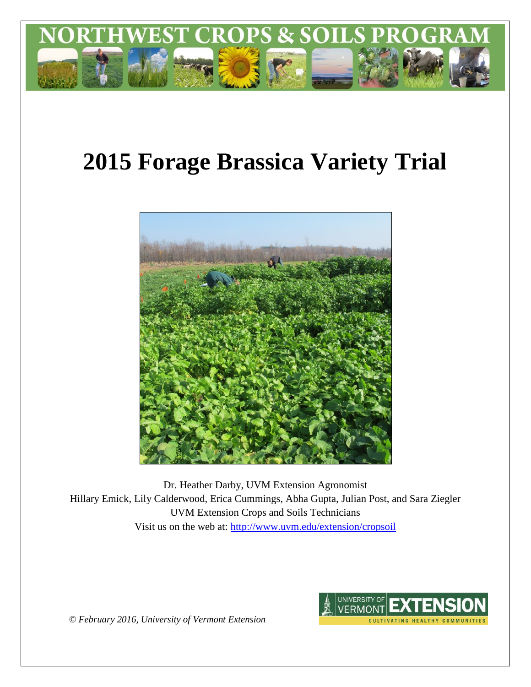

# **2015 Forage Brassica Variety Trial**



Dr. Heather Darby, UVM Extension Agronomist Hillary Emick, Lily Calderwood, Erica Cummings, Abha Gupta, Julian Post, and Sara Ziegler UVM Extension Crops and Soils Technicians Visit us on the web at:<http://www.uvm.edu/extension/cropsoil>

> **UNIVERSITY OF** /ERMON1 CULTIVATING HEALTHY COMMUNITIE

*© February 2016, University of Vermont Extension*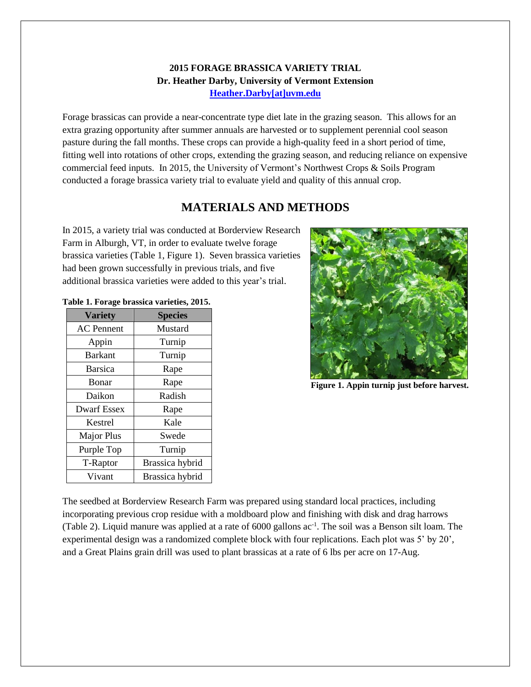#### **2015 FORAGE BRASSICA VARIETY TRIAL Dr. Heather Darby, University of Vermont Extension [Heather.Darby\[at\]uvm.edu](mailto:heather.darby@uvm.edu?subject=2012%20Forage%20Brassica%20Report)**

Forage brassicas can provide a near-concentrate type diet late in the grazing season. This allows for an extra grazing opportunity after summer annuals are harvested or to supplement perennial cool season pasture during the fall months. These crops can provide a high-quality feed in a short period of time, fitting well into rotations of other crops, extending the grazing season, and reducing reliance on expensive commercial feed inputs. In 2015, the University of Vermont's Northwest Crops & Soils Program conducted a forage brassica variety trial to evaluate yield and quality of this annual crop.

# **MATERIALS AND METHODS**

In 2015, a variety trial was conducted at Borderview Research Farm in Alburgh, VT, in order to evaluate twelve forage brassica varieties (Table 1, Figure 1). Seven brassica varieties had been grown successfully in previous trials, and five additional brassica varieties were added to this year's trial.

| <b>Variety</b>     | <b>Species</b>  |
|--------------------|-----------------|
| <b>AC</b> Pennent  | Mustard         |
| Appin              | Turnip          |
| <b>Barkant</b>     | Turnip          |
| <b>Barsica</b>     | Rape            |
| Bonar              | Rape            |
| Daikon             | Radish          |
| <b>Dwarf Essex</b> | Rape            |
| Kestrel            | Kale            |
| <b>Major Plus</b>  | Swede           |
| Purple Top         | Turnip          |
| T-Raptor           | Brassica hybrid |
| Vivant             | Brassica hybrid |

|  |  | Table 1. Forage brassica varieties, 2015. |  |
|--|--|-------------------------------------------|--|
|  |  |                                           |  |



**Figure 1. Appin turnip just before harvest.**

The seedbed at Borderview Research Farm was prepared using standard local practices, including incorporating previous crop residue with a moldboard plow and finishing with disk and drag harrows (Table 2). Liquid manure was applied at a rate of  $6000$  gallons  $ac^{-1}$ . The soil was a Benson silt loam. The experimental design was a randomized complete block with four replications. Each plot was 5' by 20', and a Great Plains grain drill was used to plant brassicas at a rate of 6 lbs per acre on 17-Aug.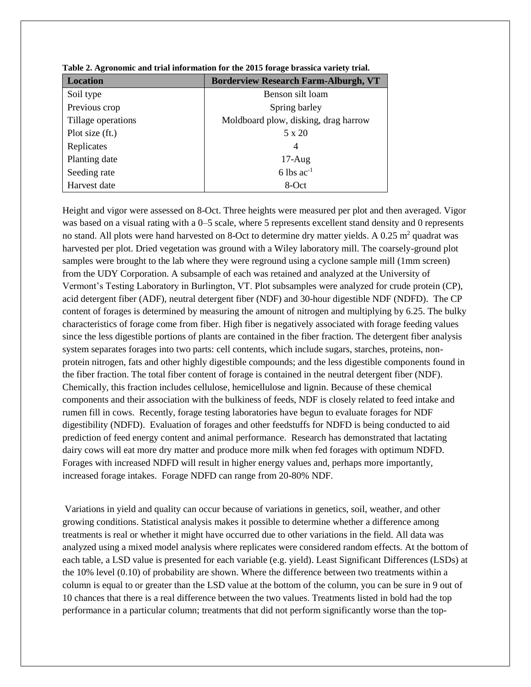| <b>Location</b>    | <b>Borderview Research Farm-Alburgh, VT</b> |  |  |  |
|--------------------|---------------------------------------------|--|--|--|
| Soil type          | Benson silt loam                            |  |  |  |
| Previous crop      | Spring barley                               |  |  |  |
| Tillage operations | Moldboard plow, disking, drag harrow        |  |  |  |
| Plot size (ft.)    | 5 x 20                                      |  |  |  |
| Replicates         | 4                                           |  |  |  |
| Planting date      | $17-Aug$                                    |  |  |  |
| Seeding rate       | 6 lbs $ac^{-1}$                             |  |  |  |
| Harvest date       | 8-Oct                                       |  |  |  |

|  |  |  | Table 2. Agronomic and trial information for the 2015 forage brassica variety trial. |
|--|--|--|--------------------------------------------------------------------------------------|
|  |  |  |                                                                                      |

Height and vigor were assessed on 8-Oct. Three heights were measured per plot and then averaged. Vigor was based on a visual rating with a 0–5 scale, where 5 represents excellent stand density and 0 represents no stand. All plots were hand harvested on 8-Oct to determine dry matter yields. A  $0.25$  m<sup>2</sup> quadrat was harvested per plot. Dried vegetation was ground with a Wiley laboratory mill. The coarsely-ground plot samples were brought to the lab where they were reground using a cyclone sample mill (1mm screen) from the UDY Corporation. A subsample of each was retained and analyzed at the University of Vermont's Testing Laboratory in Burlington, VT. Plot subsamples were analyzed for crude protein (CP), acid detergent fiber (ADF), neutral detergent fiber (NDF) and 30-hour digestible NDF (NDFD). The CP content of forages is determined by measuring the amount of nitrogen and multiplying by 6.25. The bulky characteristics of forage come from fiber. High fiber is negatively associated with forage feeding values since the less digestible portions of plants are contained in the fiber fraction. The detergent fiber analysis system separates forages into two parts: cell contents, which include sugars, starches, proteins, nonprotein nitrogen, fats and other highly digestible compounds; and the less digestible components found in the fiber fraction. The total fiber content of forage is contained in the neutral detergent fiber (NDF). Chemically, this fraction includes cellulose, hemicellulose and lignin. Because of these chemical components and their association with the bulkiness of feeds, NDF is closely related to feed intake and rumen fill in cows. Recently, forage testing laboratories have begun to evaluate forages for NDF digestibility (NDFD). Evaluation of forages and other feedstuffs for NDFD is being conducted to aid prediction of feed energy content and animal performance. Research has demonstrated that lactating dairy cows will eat more dry matter and produce more milk when fed forages with optimum NDFD. Forages with increased NDFD will result in higher energy values and, perhaps more importantly, increased forage intakes. Forage NDFD can range from 20-80% NDF.

Variations in yield and quality can occur because of variations in genetics, soil, weather, and other growing conditions. Statistical analysis makes it possible to determine whether a difference among treatments is real or whether it might have occurred due to other variations in the field. All data was analyzed using a mixed model analysis where replicates were considered random effects. At the bottom of each table, a LSD value is presented for each variable (e.g. yield). Least Significant Differences (LSDs) at the 10% level (0.10) of probability are shown. Where the difference between two treatments within a column is equal to or greater than the LSD value at the bottom of the column, you can be sure in 9 out of 10 chances that there is a real difference between the two values. Treatments listed in bold had the top performance in a particular column; treatments that did not perform significantly worse than the top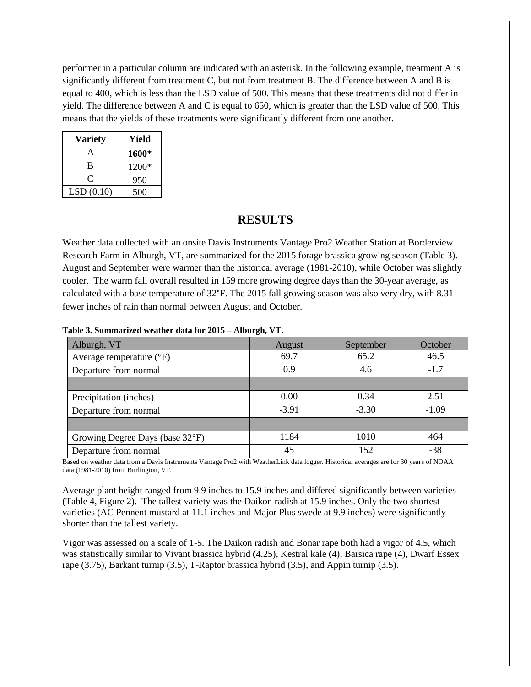performer in a particular column are indicated with an asterisk. In the following example, treatment A is significantly different from treatment C, but not from treatment B. The difference between A and B is equal to 400, which is less than the LSD value of 500. This means that these treatments did not differ in yield. The difference between A and C is equal to 650, which is greater than the LSD value of 500. This means that the yields of these treatments were significantly different from one another.

| <b>Variety</b> | Yield |  |  |
|----------------|-------|--|--|
| A              | 1600* |  |  |
| B              | 1200* |  |  |
| ⊖              | 950   |  |  |
| LSD(0.10)      | 500   |  |  |

#### **RESULTS**

Weather data collected with an onsite Davis Instruments Vantage Pro2 Weather Station at Borderview Research Farm in Alburgh, VT, are summarized for the 2015 forage brassica growing season (Table 3). August and September were warmer than the historical average (1981-2010), while October was slightly cooler. The warm fall overall resulted in 159 more growing degree days than the 30-year average, as calculated with a base temperature of 32°F. The 2015 fall growing season was also very dry, with 8.31 fewer inches of rain than normal between August and October.

| Alburgh, VT                       | August  | September | October |
|-----------------------------------|---------|-----------|---------|
| Average temperature $(^{\circ}F)$ | 69.7    | 65.2      | 46.5    |
| Departure from normal             | 0.9     | 4.6       | $-1.7$  |
|                                   |         |           |         |
| Precipitation (inches)            | 0.00    | 0.34      | 2.51    |
| Departure from normal             | $-3.91$ | $-3.30$   | $-1.09$ |
|                                   |         |           |         |
| Growing Degree Days (base 32°F)   | 1184    | 1010      | 464     |
| Departure from normal             | 45      | 152       | $-38$   |

**Table 3. Summarized weather data for 2015 – Alburgh, VT.**

Based on weather data from a Davis Instruments Vantage Pro2 with WeatherLink data logger. Historical averages are for 30 years of NOAA data (1981-2010) from Burlington, VT.

Average plant height ranged from 9.9 inches to 15.9 inches and differed significantly between varieties (Table 4, Figure 2). The tallest variety was the Daikon radish at 15.9 inches. Only the two shortest varieties (AC Pennent mustard at 11.1 inches and Major Plus swede at 9.9 inches) were significantly shorter than the tallest variety.

Vigor was assessed on a scale of 1-5. The Daikon radish and Bonar rape both had a vigor of 4.5, which was statistically similar to Vivant brassica hybrid (4.25), Kestral kale (4), Barsica rape (4), Dwarf Essex rape (3.75), Barkant turnip (3.5), T-Raptor brassica hybrid (3.5), and Appin turnip (3.5).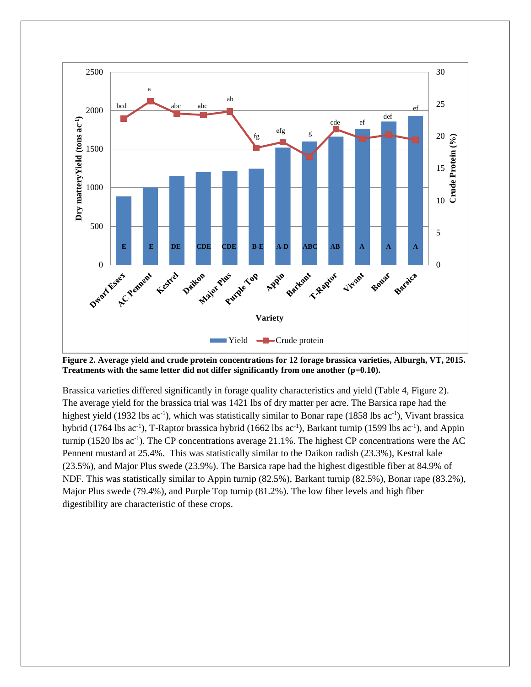

**Figure 2. Average yield and crude protein concentrations for 12 forage brassica varieties, Alburgh, VT, 2015. Treatments with the same letter did not differ significantly from one another (p=0.10).**

Brassica varieties differed significantly in forage quality characteristics and yield (Table 4, Figure 2). The average yield for the brassica trial was 1421 lbs of dry matter per acre. The Barsica rape had the highest yield (1932 lbs ac<sup>-1</sup>), which was statistically similar to Bonar rape (1858 lbs ac<sup>-1</sup>), Vivant brassica hybrid (1764 lbs ac<sup>-1</sup>), T-Raptor brassica hybrid (1662 lbs ac<sup>-1</sup>), Barkant turnip (1599 lbs ac<sup>-1</sup>), and Appin turnip (1520 lbs  $ac^{-1}$ ). The CP concentrations average 21.1%. The highest CP concentrations were the AC Pennent mustard at 25.4%. This was statistically similar to the Daikon radish (23.3%), Kestral kale (23.5%), and Major Plus swede (23.9%). The Barsica rape had the highest digestible fiber at 84.9% of NDF. This was statistically similar to Appin turnip (82.5%), Barkant turnip (82.5%), Bonar rape (83.2%), Major Plus swede (79.4%), and Purple Top turnip (81.2%). The low fiber levels and high fiber digestibility are characteristic of these crops.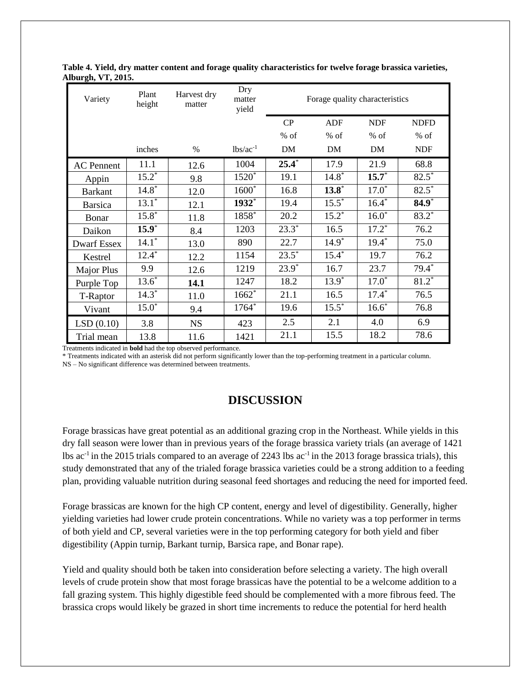| Variety            | Plant<br>height | Harvest dry<br>matter | Dry<br>matter<br>yield | Forage quality characteristics |            |            |             |
|--------------------|-----------------|-----------------------|------------------------|--------------------------------|------------|------------|-------------|
|                    |                 |                       |                        | CP                             | <b>ADF</b> | <b>NDF</b> | <b>NDFD</b> |
|                    |                 |                       |                        | $%$ of                         | $%$ of     | % of       | % of        |
|                    | inches          | $\%$                  | $1bs/ac^{-1}$          | DM                             | DM         | DM         | <b>NDF</b>  |
| <b>AC</b> Pennent  | 11.1            | 12.6                  | 1004                   | $25.4*$                        | 17.9       | 21.9       | 68.8        |
| Appin              | $15.2^*$        | 9.8                   | 1520 <sup>*</sup>      | 19.1                           | $14.8*$    | $15.7*$    | $82.5*$     |
| <b>Barkant</b>     | $14.8*$         | 12.0                  | $1600*$                | 16.8                           | $13.8*$    | $17.0*$    | $82.5*$     |
| <b>Barsica</b>     | $13.1*$         | 12.1                  | 1932*                  | 19.4                           | $15.5^*$   | $16.4*$    | $84.9*$     |
| Bonar              | $15.8*$         | 11.8                  | 1858*                  | 20.2                           | $15.2*$    | $16.0*$    | $83.2*$     |
| Daikon             | $15.9*$         | 8.4                   | 1203                   | $23.3*$                        | 16.5       | $17.2^*$   | 76.2        |
| <b>Dwarf Essex</b> | $14.1*$         | 13.0                  | 890                    | 22.7                           | $14.9*$    | $19.4*$    | 75.0        |
| Kestrel            | $12.4*$         | 12.2                  | 1154                   | $23.5*$                        | $15.4*$    | 19.7       | 76.2        |
| Major Plus         | 9.9             | 12.6                  | 1219                   | $23.9^*$                       | 16.7       | 23.7       | $79.4*$     |
| Purple Top         | $13.6*$         | 14.1                  | 1247                   | 18.2                           | $13.9^*$   | $17.0*$    | $81.2*$     |
| T-Raptor           | $14.3*$         | 11.0                  | $1662*$                | 21.1                           | 16.5       | $17.4*$    | 76.5        |
| Vivant             | $15.0*$         | 9.4                   | 1764*                  | 19.6                           | $15.5^*$   | $16.6*$    | 76.8        |
| LSD(0.10)          | 3.8             | <b>NS</b>             | 423                    | 2.5                            | 2.1        | 4.0        | 6.9         |
| Trial mean         | 13.8            | 11.6                  | 1421                   | 21.1                           | 15.5       | 18.2       | 78.6        |

**Table 4. Yield, dry matter content and forage quality characteristics for twelve forage brassica varieties, Alburgh, VT, 2015.**

Treatments indicated in **bold** had the top observed performance.

\* Treatments indicated with an asterisk did not perform significantly lower than the top-performing treatment in a particular column.

NS – No significant difference was determined between treatments.

## **DISCUSSION**

Forage brassicas have great potential as an additional grazing crop in the Northeast. While yields in this dry fall season were lower than in previous years of the forage brassica variety trials (an average of 1421 lbs ac<sup>-1</sup> in the 2015 trials compared to an average of 2243 lbs ac<sup>-1</sup> in the 2013 forage brassica trials), this study demonstrated that any of the trialed forage brassica varieties could be a strong addition to a feeding plan, providing valuable nutrition during seasonal feed shortages and reducing the need for imported feed.

Forage brassicas are known for the high CP content, energy and level of digestibility. Generally, higher yielding varieties had lower crude protein concentrations. While no variety was a top performer in terms of both yield and CP, several varieties were in the top performing category for both yield and fiber digestibility (Appin turnip, Barkant turnip, Barsica rape, and Bonar rape).

Yield and quality should both be taken into consideration before selecting a variety. The high overall levels of crude protein show that most forage brassicas have the potential to be a welcome addition to a fall grazing system. This highly digestible feed should be complemented with a more fibrous feed. The brassica crops would likely be grazed in short time increments to reduce the potential for herd health